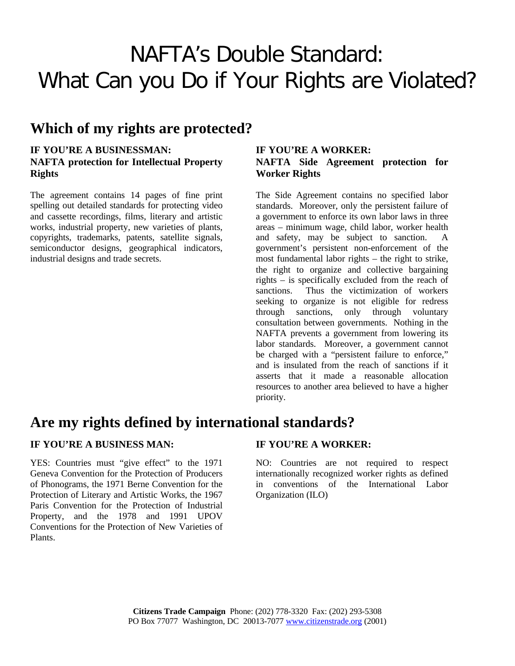# NAFTA's Double Standard: What Can you Do if Your Rights are Violated?

## **Which of my rights are protected?**

### **IF YOU'RE A BUSINESSMAN: NAFTA protection for Intellectual Property Rights**

The agreement contains 14 pages of fine print spelling out detailed standards for protecting video and cassette recordings, films, literary and artistic works, industrial property, new varieties of plants, copyrights, trademarks, patents, satellite signals, semiconductor designs, geographical indicators, industrial designs and trade secrets.

### **IF YOU'RE A WORKER: NAFTA Side Agreement protection for Worker Rights**

The Side Agreement contains no specified labor standards. Moreover, only the persistent failure of a government to enforce its own labor laws in three areas – minimum wage, child labor, worker health and safety, may be subject to sanction. A government's persistent non-enforcement of the most fundamental labor rights – the right to strike, the right to organize and collective bargaining rights – is specifically excluded from the reach of sanctions. Thus the victimization of workers seeking to organize is not eligible for redress through sanctions, only through voluntary consultation between governments. Nothing in the NAFTA prevents a government from lowering its labor standards. Moreover, a government cannot be charged with a "persistent failure to enforce," and is insulated from the reach of sanctions if it asserts that it made a reasonable allocation resources to another area believed to have a higher priority.

## **Are my rights defined by international standards?**

### **IF YOU'RE A BUSINESS MAN: IF YOU'RE A WORKER:**

YES: Countries must "give effect" to the 1971 Geneva Convention for the Protection of Producers of Phonograms, the 1971 Berne Convention for the Protection of Literary and Artistic Works, the 1967 Paris Convention for the Protection of Industrial Property, and the 1978 and 1991 UPOV Conventions for the Protection of New Varieties of Plants.

NO: Countries are not required to respect internationally recognized worker rights as defined in conventions of the International Labor Organization (ILO)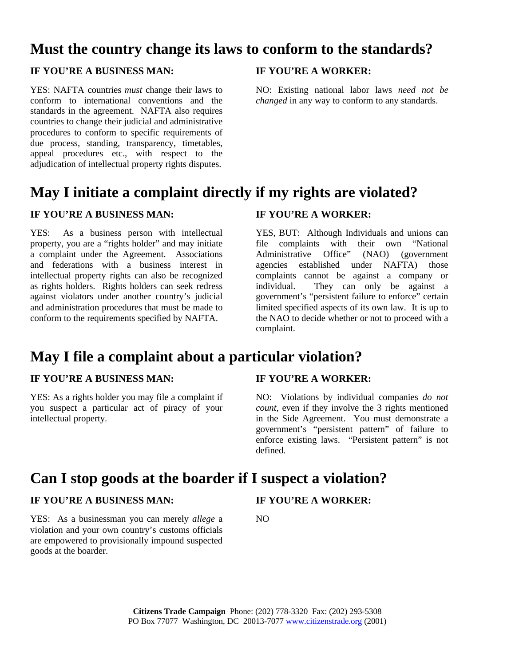## **Must the country change its laws to conform to the standards?**

### **IF YOU'RE A BUSINESS MAN: IF YOU'RE A WORKER:**

YES: NAFTA countries *must* change their laws to conform to international conventions and the standards in the agreement. NAFTA also requires countries to change their judicial and administrative procedures to conform to specific requirements of due process, standing, transparency, timetables, appeal procedures etc., with respect to the adjudication of intellectual property rights disputes.

NO: Existing national labor laws *need not be changed* in any way to conform to any standards.

## **May I initiate a complaint directly if my rights are violated?**

### **IF YOU'RE A BUSINESS MAN: IF YOU'RE A WORKER:**

YES: As a business person with intellectual property, you are a "rights holder" and may initiate a complaint under the Agreement. Associations and federations with a business interest in intellectual property rights can also be recognized as rights holders. Rights holders can seek redress against violators under another country's judicial and administration procedures that must be made to conform to the requirements specified by NAFTA.

YES, BUT: Although Individuals and unions can file complaints with their own "National Administrative Office" (NAO) (government agencies established under NAFTA) those complaints cannot be against a company or individual. They can only be against a government's "persistent failure to enforce" certain limited specified aspects of its own law. It is up to the NAO to decide whether or not to proceed with a complaint.

## **May I file a complaint about a particular violation?**

### **IF YOU'RE A BUSINESS MAN: IF YOU'RE A WORKER:**

YES: As a rights holder you may file a complaint if you suspect a particular act of piracy of your intellectual property.

NO: Violations by individual companies *do not count*, even if they involve the 3 rights mentioned in the Side Agreement. You must demonstrate a government's "persistent pattern" of failure to enforce existing laws. "Persistent pattern" is not defined.

## **Can I stop goods at the boarder if I suspect a violation?**

### **IF YOU'RE A BUSINESS MAN: IF YOU'RE A WORKER:**

YES: As a businessman you can merely *allege* a violation and your own country's customs officials are empowered to provisionally impound suspected goods at the boarder.

NO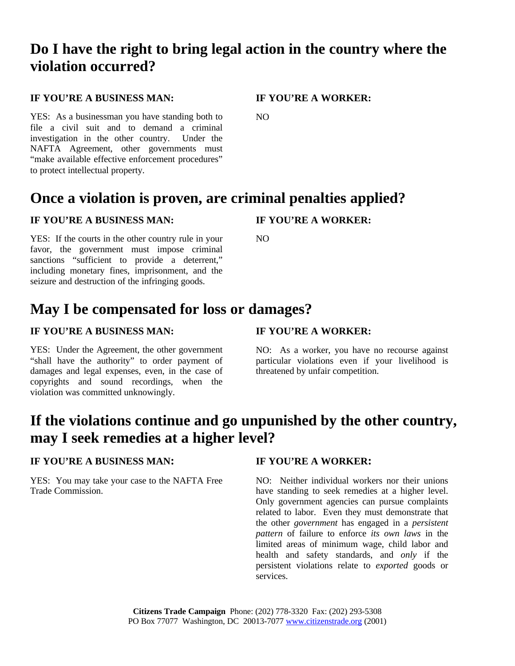## **Do I have the right to bring legal action in the country where the violation occurred?**

### **IF YOU'RE A BUSINESS MAN: IF YOU'RE A WORKER:**

NO

YES: As a businessman you have standing both to file a civil suit and to demand a criminal investigation in the other country. Under the NAFTA Agreement, other governments must "make available effective enforcement procedures" to protect intellectual property.

## **Once a violation is proven, are criminal penalties applied?**

### **IF YOU'RE A BUSINESS MAN: IF YOU'RE A WORKER:**

YES: If the courts in the other country rule in your favor, the government must impose criminal sanctions "sufficient to provide a deterrent," including monetary fines, imprisonment, and the seizure and destruction of the infringing goods.

 $N<sub>O</sub>$ 

## **May I be compensated for loss or damages?**

### **IF YOU'RE A BUSINESS MAN: IF YOU'RE A WORKER:**

YES: Under the Agreement, the other government "shall have the authority" to order payment of damages and legal expenses, even, in the case of copyrights and sound recordings, when the violation was committed unknowingly.

NO: As a worker, you have no recourse against particular violations even if your livelihood is threatened by unfair competition.

## **If the violations continue and go unpunished by the other country, may I seek remedies at a higher level?**

### **IF YOU'RE A BUSINESS MAN: IF YOU'RE A WORKER:**

YES: You may take your case to the NAFTA Free Trade Commission.

NO: Neither individual workers nor their unions have standing to seek remedies at a higher level. Only government agencies can pursue complaints related to labor. Even they must demonstrate that the other *government* has engaged in a *persistent pattern* of failure to enforce *its own laws* in the limited areas of minimum wage, child labor and health and safety standards, and *only* if the persistent violations relate to *exported* goods or services.